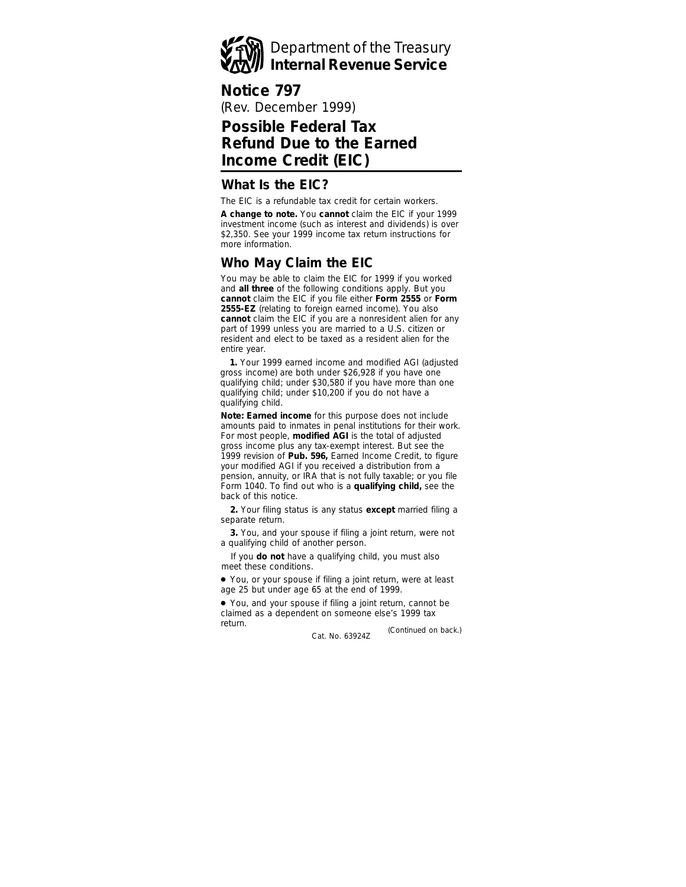

# **Notice 797**

(Rev. December 1999)

# **Possible Federal Tax Refund Due to the Earned Income Credit (EIC)**

#### **What Is the EIC?**

The EIC is a refundable tax credit for certain workers.

**A change to note.** You **cannot** claim the EIC if your 1999 investment income (such as interest and dividends) is over \$2,350. See your 1999 income tax return instructions for more information.

## **Who May Claim the EIC**

You may be able to claim the EIC for 1999 if you worked and **all three** of the following conditions apply. But you **cannot** claim the EIC if you file either **Form 2555** or **Form 2555-EZ** (relating to foreign earned income). You also **cannot** claim the EIC if you are a nonresident alien for any part of 1999 unless you are married to a U.S. citizen or resident and elect to be taxed as a resident alien for the entire year.

**1.** Your 1999 earned income and modified AGI (adjusted gross income) are both under \$26,928 if you have one qualifying child; under \$30,580 if you have more than one qualifying child; under \$10,200 if you do not have a qualifying child.

**Note:** *Earned income for this purpose does not include amounts paid to inmates in penal institutions for their work. For most people, modified AGI is the total of adjusted gross income plus any tax-exempt interest. But see the 1999 revision of Pub. 596, Earned Income Credit, to figure your modified AGI if you received a distribution from a pension, annuity, or IRA that is not fully taxable; or you file Form 1040. To find out who is a qualifying child, see the back of this notice.*

**2.** Your filing status is any status **except** married filing a separate return.

**3.** You, and your spouse if filing a joint return, were not a qualifying child of another person.

If you **do not** have a qualifying child, you must also meet these conditions.

● You, or your spouse if filing a joint return, were at least age 25 but under age 65 at the end of 1999.

*(Continued on back.)* ● You, and your spouse if filing a joint return, cannot be claimed as a dependent on someone else's 1999 tax return.

Cat. No. 63924Z